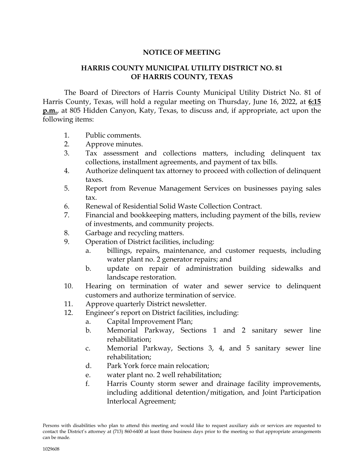## **NOTICE OF MEETING**

## **HARRIS COUNTY MUNICIPAL UTILITY DISTRICT NO. 81 OF HARRIS COUNTY, TEXAS**

The Board of Directors of Harris County Municipal Utility District No. 81 of Harris County, Texas, will hold a regular meeting on Thursday, June 16, 2022, at **6:15 p.m.**, at 805 Hidden Canyon, Katy, Texas, to discuss and, if appropriate, act upon the following items:

- 1. Public comments.
- 2. Approve minutes.
- 3. Tax assessment and collections matters, including delinquent tax collections, installment agreements, and payment of tax bills.
- 4. Authorize delinquent tax attorney to proceed with collection of delinquent taxes.
- 5. Report from Revenue Management Services on businesses paying sales tax.
- 6. Renewal of Residential Solid Waste Collection Contract.
- 7. Financial and bookkeeping matters, including payment of the bills, review of investments, and community projects.
- 8. Garbage and recycling matters.
- 9. Operation of District facilities, including:
	- a. billings, repairs, maintenance, and customer requests, including water plant no. 2 generator repairs; and
	- b. update on repair of administration building sidewalks and landscape restoration.
- 10. Hearing on termination of water and sewer service to delinquent customers and authorize termination of service.
- 11. Approve quarterly District newsletter.
- 12. Engineer's report on District facilities, including:
	- a. Capital Improvement Plan;
	- b. Memorial Parkway, Sections 1 and 2 sanitary sewer line rehabilitation;
	- c. Memorial Parkway, Sections 3, 4, and 5 sanitary sewer line rehabilitation;
	- d. Park York force main relocation;
	- e. water plant no. 2 well rehabilitation;
	- f. Harris County storm sewer and drainage facility improvements, including additional detention/mitigation, and Joint Participation Interlocal Agreement;

Persons with disabilities who plan to attend this meeting and would like to request auxiliary aids or services are requested to contact the District's attorney at (713) 860-6400 at least three business days prior to the meeting so that appropriate arrangements can be made.